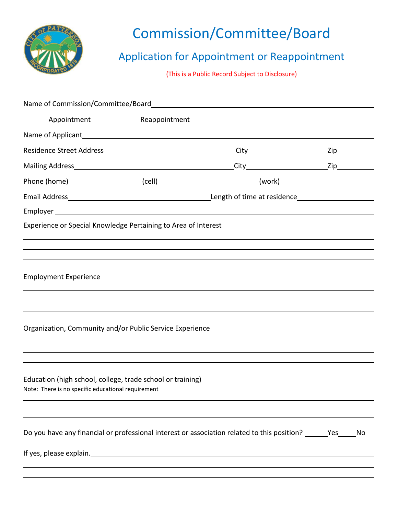

 $\overline{a}$ 

## Commission/Committee/Board

## Application for Appointment or Reappointment

(This is a Public Record Subject to Disclosure)

| Experience or Special Knowledge Pertaining to Area of Interest                                                   |                                                                                  |  |    |
|------------------------------------------------------------------------------------------------------------------|----------------------------------------------------------------------------------|--|----|
|                                                                                                                  |                                                                                  |  |    |
|                                                                                                                  |                                                                                  |  |    |
| <b>Employment Experience</b>                                                                                     |                                                                                  |  |    |
|                                                                                                                  |                                                                                  |  |    |
|                                                                                                                  | ,我们也不会有什么?""我们的人,我们也不会有什么?""我们的人,我们也不会有什么?""我们的人,我们也不会有什么?""我们的人,我们也不会有什么?""我们的人 |  |    |
| Organization, Community and/or Public Service Experience                                                         |                                                                                  |  |    |
|                                                                                                                  |                                                                                  |  |    |
|                                                                                                                  |                                                                                  |  |    |
| Education (high school, college, trade school or training)<br>Note: There is no specific educational requirement |                                                                                  |  |    |
|                                                                                                                  |                                                                                  |  |    |
| Do you have any financial or professional interest or association related to this position? _______Yes_          |                                                                                  |  | No |
|                                                                                                                  |                                                                                  |  |    |
|                                                                                                                  |                                                                                  |  |    |